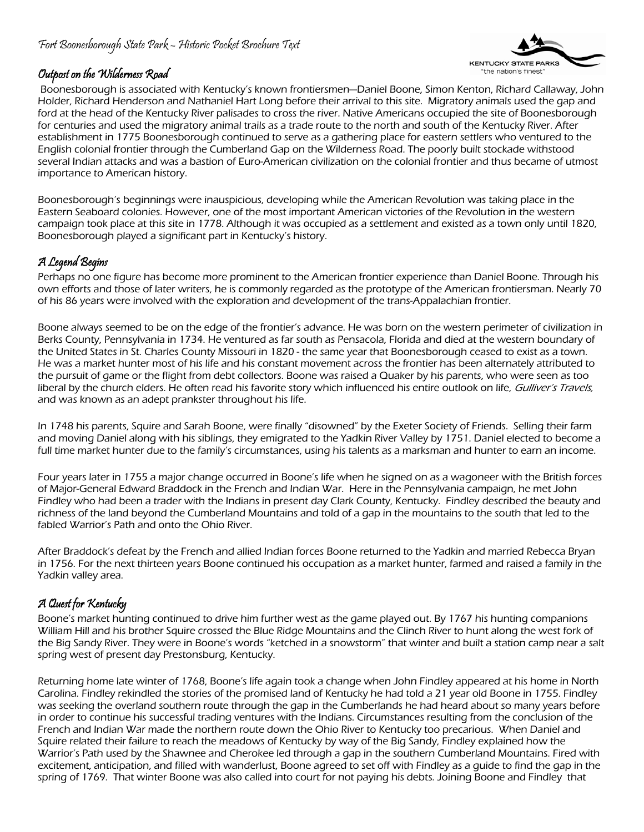### Fort Boonesborough State Park – Historic Pocket Brochure Text



#### Outpost on the Wilderness Road

 Boonesborough is associated with Kentucky's known frontiersmen—Daniel Boone, Simon Kenton, Richard Callaway, John Holder, Richard Henderson and Nathaniel Hart Long before their arrival to this site. Migratory animals used the gap and ford at the head of the Kentucky River palisades to cross the river. Native Americans occupied the site of Boonesborough for centuries and used the migratory animal trails as a trade route to the north and south of the Kentucky River. After establishment in 1775 Boonesborough continued to serve as a gathering place for eastern settlers who ventured to the English colonial frontier through the Cumberland Gap on the Wilderness Road. The poorly built stockade withstood several Indian attacks and was a bastion of Euro-American civilization on the colonial frontier and thus became of utmost importance to American history.

Boonesborough's beginnings were inauspicious, developing while the American Revolution was taking place in the Eastern Seaboard colonies. However, one of the most important American victories of the Revolution in the western campaign took place at this site in 1778. Although it was occupied as a settlement and existed as a town only until 1820, Boonesborough played a significant part in Kentucky's history.

# A Legend Begins

Perhaps no one figure has become more prominent to the American frontier experience than Daniel Boone. Through his own efforts and those of later writers, he is commonly regarded as the prototype of the American frontiersman. Nearly 70 of his 86 years were involved with the exploration and development of the trans-Appalachian frontier.

Boone always seemed to be on the edge of the frontier's advance. He was born on the western perimeter of civilization in Berks County, Pennsylvania in 1734. He ventured as far south as Pensacola, Florida and died at the western boundary of the United States in St. Charles County Missouri in 1820 - the same year that Boonesborough ceased to exist as a town. He was a market hunter most of his life and his constant movement across the frontier has been alternately attributed to the pursuit of game or the flight from debt collectors. Boone was raised a Quaker by his parents, who were seen as too liberal by the church elders. He often read his favorite story which influenced his entire outlook on life, Gulliver's Travels, and was known as an adept prankster throughout his life.

In 1748 his parents, Squire and Sarah Boone, were finally "disowned" by the Exeter Society of Friends. Selling their farm and moving Daniel along with his siblings, they emigrated to the Yadkin River Valley by 1751. Daniel elected to become a full time market hunter due to the family's circumstances, using his talents as a marksman and hunter to earn an income.

Four years later in 1755 a major change occurred in Boone's life when he signed on as a wagoneer with the British forces of Major-General Edward Braddock in the French and Indian War. Here in the Pennsylvania campaign, he met John Findley who had been a trader with the Indians in present day Clark County, Kentucky. Findley described the beauty and richness of the land beyond the Cumberland Mountains and told of a gap in the mountains to the south that led to the fabled Warrior's Path and onto the Ohio River.

After Braddock's defeat by the French and allied Indian forces Boone returned to the Yadkin and married Rebecca Bryan in 1756. For the next thirteen years Boone continued his occupation as a market hunter, farmed and raised a family in the Yadkin valley area.

# A Quest for Kentucky

Boone's market hunting continued to drive him further west as the game played out. By 1767 his hunting companions William Hill and his brother Squire crossed the Blue Ridge Mountains and the Clinch River to hunt along the west fork of the Big Sandy River. They were in Boone's words "ketched in a snowstorm" that winter and built a station camp near a salt spring west of present day Prestonsburg, Kentucky.

Returning home late winter of 1768, Boone's life again took a change when John Findley appeared at his home in North Carolina. Findley rekindled the stories of the promised land of Kentucky he had told a 21 year old Boone in 1755. Findley was seeking the overland southern route through the gap in the Cumberlands he had heard about so many years before in order to continue his successful trading ventures with the Indians. Circumstances resulting from the conclusion of the French and Indian War made the northern route down the Ohio River to Kentucky too precarious. When Daniel and Squire related their failure to reach the meadows of Kentucky by way of the Big Sandy, Findley explained how the Warrior's Path used by the Shawnee and Cherokee led through a gap in the southern Cumberland Mountains. Fired with excitement, anticipation, and filled with wanderlust, Boone agreed to set off with Findley as a guide to find the gap in the spring of 1769. That winter Boone was also called into court for not paying his debts. Joining Boone and Findley that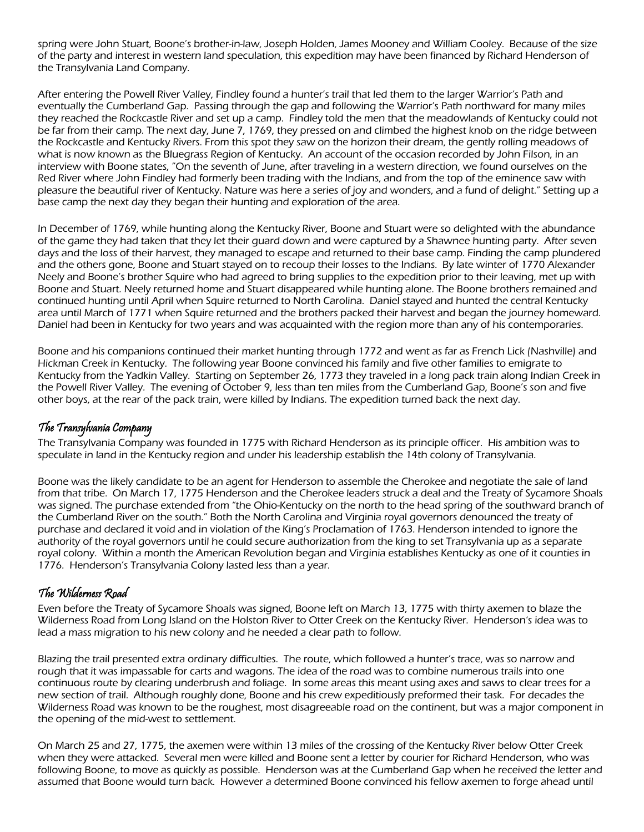spring were John Stuart, Boone's brother-in-law, Joseph Holden, James Mooney and William Cooley. Because of the size of the party and interest in western land speculation, this expedition may have been financed by Richard Henderson of the Transylvania Land Company.

After entering the Powell River Valley, Findley found a hunter's trail that led them to the larger Warrior's Path and eventually the Cumberland Gap. Passing through the gap and following the Warrior's Path northward for many miles they reached the Rockcastle River and set up a camp. Findley told the men that the meadowlands of Kentucky could not be far from their camp. The next day, June 7, 1769, they pressed on and climbed the highest knob on the ridge between the Rockcastle and Kentucky Rivers. From this spot they saw on the horizon their dream, the gently rolling meadows of what is now known as the Bluegrass Region of Kentucky. An account of the occasion recorded by John Filson, in an interview with Boone states, "On the seventh of June, after traveling in a western direction, we found ourselves on the Red River where John Findley had formerly been trading with the Indians, and from the top of the eminence saw with pleasure the beautiful river of Kentucky. Nature was here a series of joy and wonders, and a fund of delight." Setting up a base camp the next day they began their hunting and exploration of the area.

In December of 1769, while hunting along the Kentucky River, Boone and Stuart were so delighted with the abundance of the game they had taken that they let their guard down and were captured by a Shawnee hunting party. After seven days and the loss of their harvest, they managed to escape and returned to their base camp. Finding the camp plundered and the others gone, Boone and Stuart stayed on to recoup their losses to the Indians. By late winter of 1770 Alexander Neely and Boone's brother Squire who had agreed to bring supplies to the expedition prior to their leaving, met up with Boone and Stuart. Neely returned home and Stuart disappeared while hunting alone. The Boone brothers remained and continued hunting until April when Squire returned to North Carolina. Daniel stayed and hunted the central Kentucky area until March of 1771 when Squire returned and the brothers packed their harvest and began the journey homeward. Daniel had been in Kentucky for two years and was acquainted with the region more than any of his contemporaries.

Boone and his companions continued their market hunting through 1772 and went as far as French Lick (Nashville) and Hickman Creek in Kentucky. The following year Boone convinced his family and five other families to emigrate to Kentucky from the Yadkin Valley. Starting on September 26, 1773 they traveled in a long pack train along Indian Creek in the Powell River Valley. The evening of October 9, less than ten miles from the Cumberland Gap, Boone's son and five other boys, at the rear of the pack train, were killed by Indians. The expedition turned back the next day.

### The Transylvania Company

The Transylvania Company was founded in 1775 with Richard Henderson as its principle officer. His ambition was to speculate in land in the Kentucky region and under his leadership establish the 14th colony of Transylvania.

Boone was the likely candidate to be an agent for Henderson to assemble the Cherokee and negotiate the sale of land from that tribe. On March 17, 1775 Henderson and the Cherokee leaders struck a deal and the Treaty of Sycamore Shoals was signed. The purchase extended from "the Ohio-Kentucky on the north to the head spring of the southward branch of the Cumberland River on the south." Both the North Carolina and Virginia royal governors denounced the treaty of purchase and declared it void and in violation of the King's Proclamation of 1763. Henderson intended to ignore the authority of the royal governors until he could secure authorization from the king to set Transylvania up as a separate royal colony. Within a month the American Revolution began and Virginia establishes Kentucky as one of it counties in 1776. Henderson's Transylvania Colony lasted less than a year.

### The Wilderness Road

Even before the Treaty of Sycamore Shoals was signed, Boone left on March 13, 1775 with thirty axemen to blaze the Wilderness Road from Long Island on the Holston River to Otter Creek on the Kentucky River. Henderson's idea was to lead a mass migration to his new colony and he needed a clear path to follow.

Blazing the trail presented extra ordinary difficulties. The route, which followed a hunter's trace, was so narrow and rough that it was impassable for carts and wagons. The idea of the road was to combine numerous trails into one continuous route by clearing underbrush and foliage. In some areas this meant using axes and saws to clear trees for a new section of trail. Although roughly done, Boone and his crew expeditiously preformed their task. For decades the Wilderness Road was known to be the roughest, most disagreeable road on the continent, but was a major component in the opening of the mid-west to settlement.

On March 25 and 27, 1775, the axemen were within 13 miles of the crossing of the Kentucky River below Otter Creek when they were attacked. Several men were killed and Boone sent a letter by courier for Richard Henderson, who was following Boone, to move as quickly as possible. Henderson was at the Cumberland Gap when he received the letter and assumed that Boone would turn back. However a determined Boone convinced his fellow axemen to forge ahead until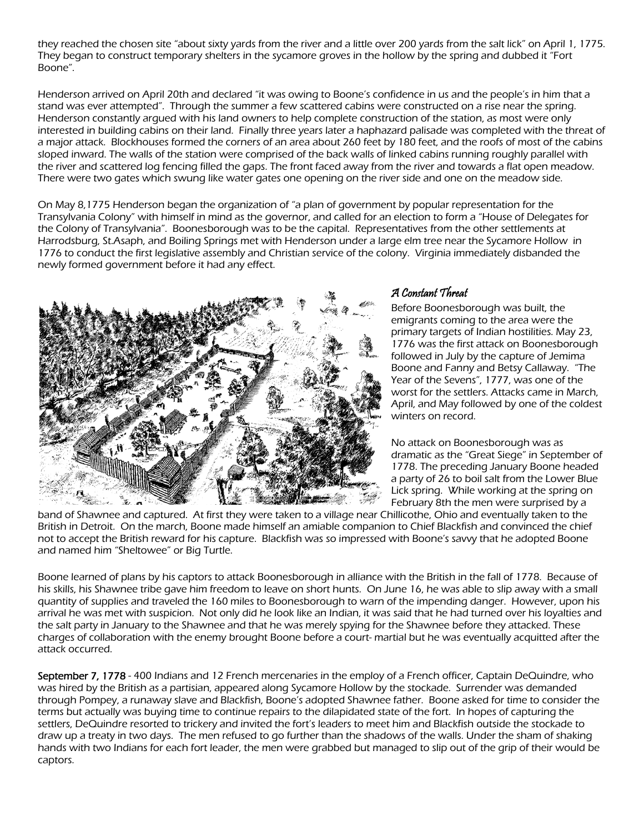they reached the chosen site "about sixty yards from the river and a little over 200 yards from the salt lick" on April 1, 1775. They began to construct temporary shelters in the sycamore groves in the hollow by the spring and dubbed it "Fort Boone".

Henderson arrived on April 20th and declared "it was owing to Boone's confidence in us and the people's in him that a stand was ever attempted". Through the summer a few scattered cabins were constructed on a rise near the spring. Henderson constantly argued with his land owners to help complete construction of the station, as most were only interested in building cabins on their land. Finally three years later a haphazard palisade was completed with the threat of a major attack. Blockhouses formed the corners of an area about 260 feet by 180 feet, and the roofs of most of the cabins sloped inward. The walls of the station were comprised of the back walls of linked cabins running roughly parallel with the river and scattered log fencing filled the gaps. The front faced away from the river and towards a flat open meadow. There were two gates which swung like water gates one opening on the river side and one on the meadow side.

On May 8,1775 Henderson began the organization of "a plan of government by popular representation for the Transylvania Colony" with himself in mind as the governor, and called for an election to form a "House of Delegates for the Colony of Transylvania". Boonesborough was to be the capital. Representatives from the other settlements at Harrodsburg, St.Asaph, and Boiling Springs met with Henderson under a large elm tree near the Sycamore Hollow in 1776 to conduct the first legislative assembly and Christian service of the colony. Virginia immediately disbanded the newly formed government before it had any effect.



#### A Constant Threat

Before Boonesborough was built, the emigrants coming to the area were the primary targets of Indian hostilities. May 23, 1776 was the first attack on Boonesborough followed in July by the capture of Jemima Boone and Fanny and Betsy Callaway. "The Year of the Sevens", 1777, was one of the worst for the settlers. Attacks came in March, April, and May followed by one of the coldest winters on record.

No attack on Boonesborough was as dramatic as the "Great Siege" in September of 1778. The preceding January Boone headed a party of 26 to boil salt from the Lower Blue Lick spring. While working at the spring on February 8th the men were surprised by a

band of Shawnee and captured. At first they were taken to a village near Chillicothe, Ohio and eventually taken to the British in Detroit. On the march, Boone made himself an amiable companion to Chief Blackfish and convinced the chief not to accept the British reward for his capture. Blackfish was so impressed with Boone's savvy that he adopted Boone and named him "Sheltowee" or Big Turtle.

Boone learned of plans by his captors to attack Boonesborough in alliance with the British in the fall of 1778. Because of his skills, his Shawnee tribe gave him freedom to leave on short hunts. On June 16, he was able to slip away with a small quantity of supplies and traveled the 160 miles to Boonesborough to warn of the impending danger. However, upon his arrival he was met with suspicion. Not only did he look like an Indian, it was said that he had turned over his loyalties and the salt party in January to the Shawnee and that he was merely spying for the Shawnee before they attacked. These charges of collaboration with the enemy brought Boone before a court- martial but he was eventually acquitted after the attack occurred.

September 7, 1778 - 400 Indians and 12 French mercenaries in the employ of a French officer, Captain DeQuindre, who was hired by the British as a partisian, appeared along Sycamore Hollow by the stockade. Surrender was demanded through Pompey, a runaway slave and Blackfish, Boone's adopted Shawnee father. Boone asked for time to consider the terms but actually was buying time to continue repairs to the dilapidated state of the fort. In hopes of capturing the settlers, DeQuindre resorted to trickery and invited the fort's leaders to meet him and Blackfish outside the stockade to draw up a treaty in two days. The men refused to go further than the shadows of the walls. Under the sham of shaking hands with two Indians for each fort leader, the men were grabbed but managed to slip out of the grip of their would be captors.